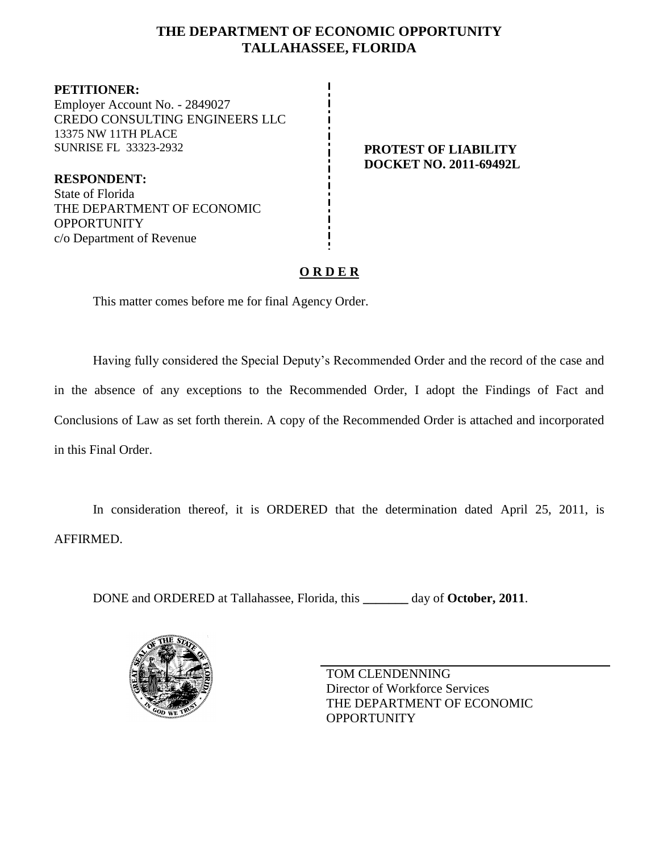## **THE DEPARTMENT OF ECONOMIC OPPORTUNITY TALLAHASSEE, FLORIDA**

**PETITIONER:** Employer Account No. - 2849027 CREDO CONSULTING ENGINEERS LLC 13375 NW 11TH PLACE SUNRISE FL 33323-2932 **PROTEST OF LIABILITY**

**RESPONDENT:** State of Florida THE DEPARTMENT OF ECONOMIC **OPPORTUNITY** c/o Department of Revenue

# **DOCKET NO. 2011-69492L**

# **O R D E R**

This matter comes before me for final Agency Order.

Having fully considered the Special Deputy's Recommended Order and the record of the case and in the absence of any exceptions to the Recommended Order, I adopt the Findings of Fact and Conclusions of Law as set forth therein. A copy of the Recommended Order is attached and incorporated in this Final Order.

In consideration thereof, it is ORDERED that the determination dated April 25, 2011, is AFFIRMED.

DONE and ORDERED at Tallahassee, Florida, this **\_\_\_\_\_\_\_** day of **October, 2011**.



TOM CLENDENNING Director of Workforce Services THE DEPARTMENT OF ECONOMIC **OPPORTUNITY**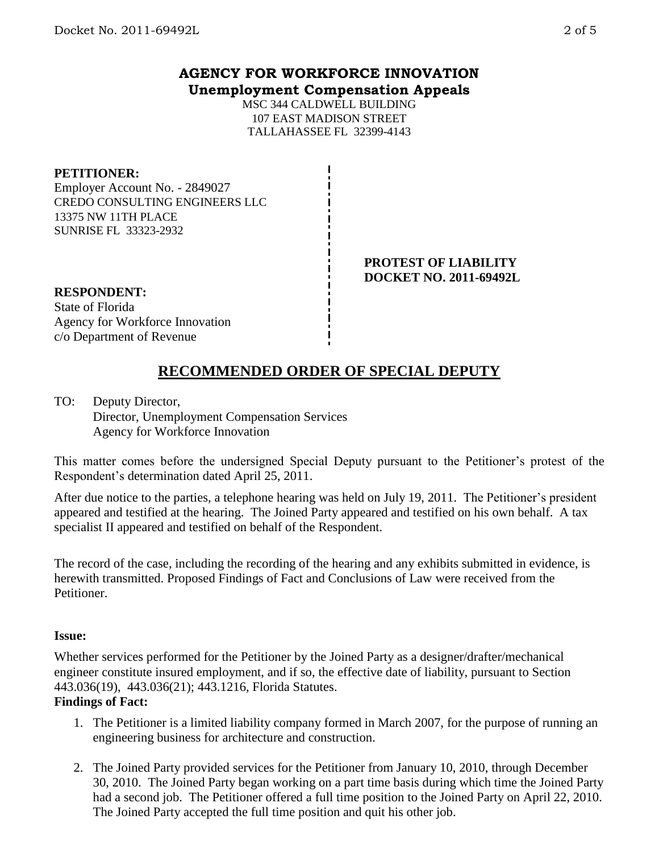### **AGENCY FOR WORKFORCE INNOVATION Unemployment Compensation Appeals**

MSC 344 CALDWELL BUILDING 107 EAST MADISON STREET TALLAHASSEE FL 32399-4143

#### **PETITIONER:**

Employer Account No. - 2849027 CREDO CONSULTING ENGINEERS LLC 13375 NW 11TH PLACE SUNRISE FL 33323-2932

#### **PROTEST OF LIABILITY DOCKET NO. 2011-69492L**

#### **RESPONDENT:** State of Florida

Agency for Workforce Innovation c/o Department of Revenue

# **RECOMMENDED ORDER OF SPECIAL DEPUTY**

TO: Deputy Director, Director, Unemployment Compensation Services Agency for Workforce Innovation

This matter comes before the undersigned Special Deputy pursuant to the Petitioner's protest of the Respondent's determination dated April 25, 2011.

After due notice to the parties, a telephone hearing was held on July 19, 2011. The Petitioner's president appeared and testified at the hearing. The Joined Party appeared and testified on his own behalf. A tax specialist II appeared and testified on behalf of the Respondent.

The record of the case, including the recording of the hearing and any exhibits submitted in evidence, is herewith transmitted. Proposed Findings of Fact and Conclusions of Law were received from the Petitioner.

#### **Issue:**

Whether services performed for the Petitioner by the Joined Party as a designer/drafter/mechanical engineer constitute insured employment, and if so, the effective date of liability, pursuant to Section 443.036(19), 443.036(21); 443.1216, Florida Statutes.

#### **Findings of Fact:**

- 1. The Petitioner is a limited liability company formed in March 2007, for the purpose of running an engineering business for architecture and construction.
- 2. The Joined Party provided services for the Petitioner from January 10, 2010, through December 30, 2010. The Joined Party began working on a part time basis during which time the Joined Party had a second job. The Petitioner offered a full time position to the Joined Party on April 22, 2010. The Joined Party accepted the full time position and quit his other job.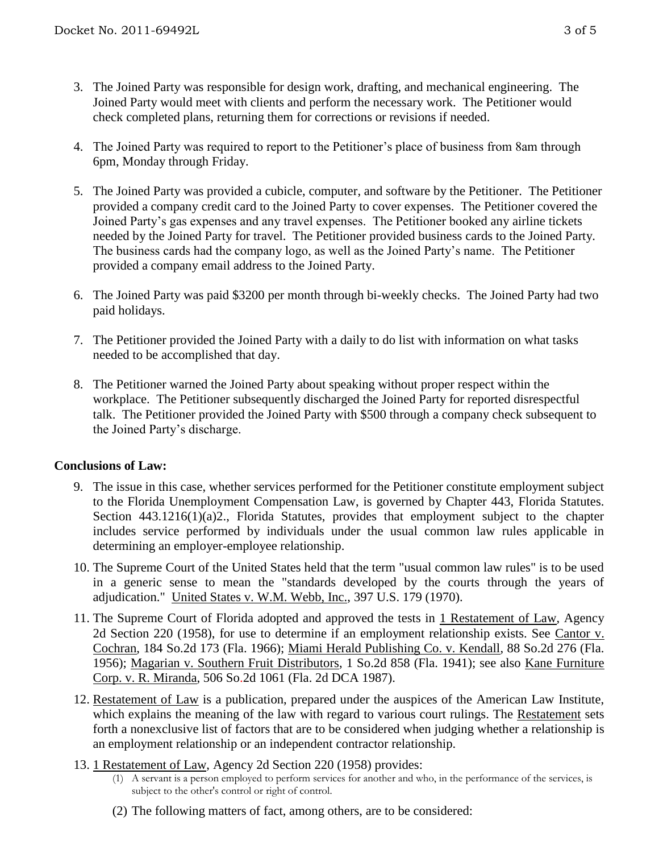- 3. The Joined Party was responsible for design work, drafting, and mechanical engineering. The Joined Party would meet with clients and perform the necessary work. The Petitioner would check completed plans, returning them for corrections or revisions if needed.
- 4. The Joined Party was required to report to the Petitioner's place of business from 8am through 6pm, Monday through Friday.
- 5. The Joined Party was provided a cubicle, computer, and software by the Petitioner. The Petitioner provided a company credit card to the Joined Party to cover expenses. The Petitioner covered the Joined Party's gas expenses and any travel expenses. The Petitioner booked any airline tickets needed by the Joined Party for travel. The Petitioner provided business cards to the Joined Party. The business cards had the company logo, as well as the Joined Party's name. The Petitioner provided a company email address to the Joined Party.
- 6. The Joined Party was paid \$3200 per month through bi-weekly checks. The Joined Party had two paid holidays.
- 7. The Petitioner provided the Joined Party with a daily to do list with information on what tasks needed to be accomplished that day.
- 8. The Petitioner warned the Joined Party about speaking without proper respect within the workplace. The Petitioner subsequently discharged the Joined Party for reported disrespectful talk. The Petitioner provided the Joined Party with \$500 through a company check subsequent to the Joined Party's discharge.

#### **Conclusions of Law:**

- 9. The issue in this case, whether services performed for the Petitioner constitute employment subject to the Florida Unemployment Compensation Law, is governed by Chapter 443, Florida Statutes. Section 443.1216(1)(a)2., Florida Statutes, provides that employment subject to the chapter includes service performed by individuals under the usual common law rules applicable in determining an employer-employee relationship.
- 10. The Supreme Court of the United States held that the term "usual common law rules" is to be used in a generic sense to mean the "standards developed by the courts through the years of adjudication." United States v. W.M. Webb, Inc., 397 U.S. 179 (1970).
- 11. The Supreme Court of Florida adopted and approved the tests in 1 Restatement of Law, Agency 2d Section 220 (1958), for use to determine if an employment relationship exists. See Cantor v. Cochran, 184 So.2d 173 (Fla. 1966); Miami Herald Publishing Co. v. Kendall, 88 So.2d 276 (Fla. 1956); Magarian v. Southern Fruit Distributors, 1 So.2d 858 (Fla. 1941); see also Kane Furniture Corp. v. R. Miranda, 506 So.2d 1061 (Fla. 2d DCA 1987).
- 12. Restatement of Law is a publication, prepared under the auspices of the American Law Institute, which explains the meaning of the law with regard to various court rulings. The Restatement sets forth a nonexclusive list of factors that are to be considered when judging whether a relationship is an employment relationship or an independent contractor relationship.
- 13. 1 Restatement of Law, Agency 2d Section 220 (1958) provides:
	- (1) A servant is a person employed to perform services for another and who, in the performance of the services, is subject to the other's control or right of control.
	- (2) The following matters of fact, among others, are to be considered: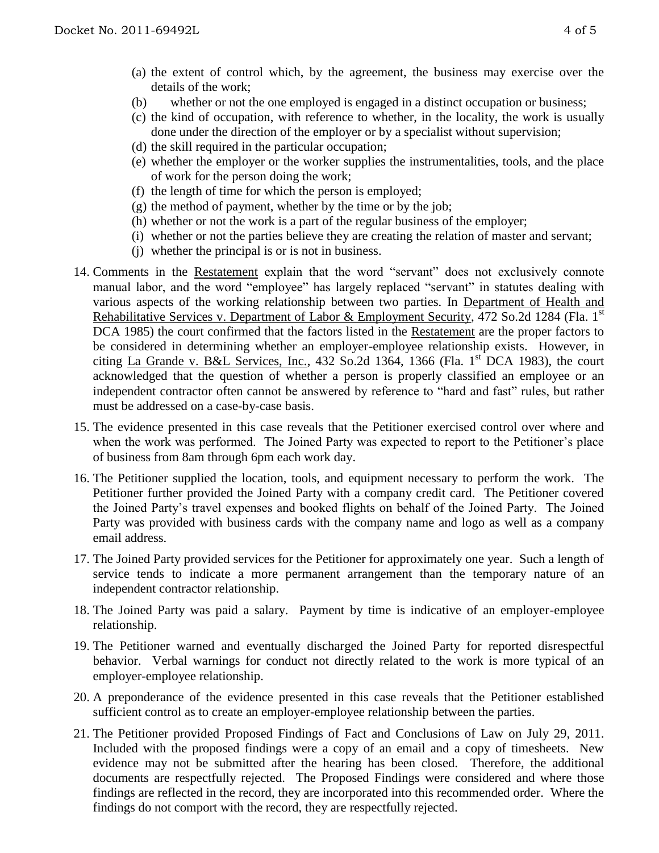- (a) the extent of control which, by the agreement, the business may exercise over the details of the work;
- (b) whether or not the one employed is engaged in a distinct occupation or business;
- (c) the kind of occupation, with reference to whether, in the locality, the work is usually done under the direction of the employer or by a specialist without supervision;
- (d) the skill required in the particular occupation;
- (e) whether the employer or the worker supplies the instrumentalities, tools, and the place of work for the person doing the work;
- (f) the length of time for which the person is employed;
- $(g)$  the method of payment, whether by the time or by the job;
- (h) whether or not the work is a part of the regular business of the employer;
- (i) whether or not the parties believe they are creating the relation of master and servant;
- (j) whether the principal is or is not in business.
- 14. Comments in the Restatement explain that the word "servant" does not exclusively connote manual labor, and the word "employee" has largely replaced "servant" in statutes dealing with various aspects of the working relationship between two parties. In Department of Health and Rehabilitative Services v. Department of Labor & Employment Security, 472 So.2d 1284 (Fla. 1<sup>st</sup> DCA 1985) the court confirmed that the factors listed in the Restatement are the proper factors to be considered in determining whether an employer-employee relationship exists. However, in citing La Grande v. B&L Services, Inc.,  $432$  So.2d  $1364$ ,  $1366$  (Fla. 1<sup>st</sup> DCA 1983), the court acknowledged that the question of whether a person is properly classified an employee or an independent contractor often cannot be answered by reference to "hard and fast" rules, but rather must be addressed on a case-by-case basis.
- 15. The evidence presented in this case reveals that the Petitioner exercised control over where and when the work was performed. The Joined Party was expected to report to the Petitioner's place of business from 8am through 6pm each work day.
- 16. The Petitioner supplied the location, tools, and equipment necessary to perform the work. The Petitioner further provided the Joined Party with a company credit card. The Petitioner covered the Joined Party's travel expenses and booked flights on behalf of the Joined Party. The Joined Party was provided with business cards with the company name and logo as well as a company email address.
- 17. The Joined Party provided services for the Petitioner for approximately one year. Such a length of service tends to indicate a more permanent arrangement than the temporary nature of an independent contractor relationship.
- 18. The Joined Party was paid a salary. Payment by time is indicative of an employer-employee relationship.
- 19. The Petitioner warned and eventually discharged the Joined Party for reported disrespectful behavior. Verbal warnings for conduct not directly related to the work is more typical of an employer-employee relationship.
- 20. A preponderance of the evidence presented in this case reveals that the Petitioner established sufficient control as to create an employer-employee relationship between the parties.
- 21. The Petitioner provided Proposed Findings of Fact and Conclusions of Law on July 29, 2011. Included with the proposed findings were a copy of an email and a copy of timesheets. New evidence may not be submitted after the hearing has been closed. Therefore, the additional documents are respectfully rejected. The Proposed Findings were considered and where those findings are reflected in the record, they are incorporated into this recommended order. Where the findings do not comport with the record, they are respectfully rejected.